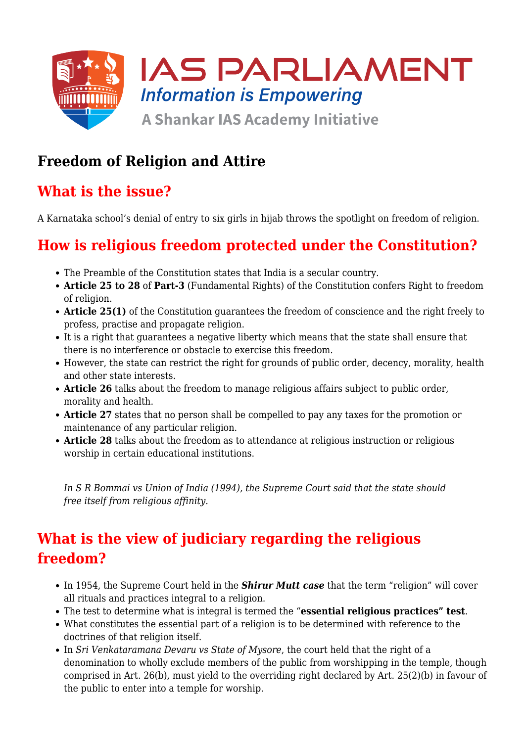

### **Freedom of Religion and Attire**

### **What is the issue?**

A Karnataka school's denial of entry to six girls in hijab throws the spotlight on freedom of religion.

# **How is religious freedom protected under the Constitution?**

- The Preamble of the Constitution states that India is a secular country.
- **Article 25 to 28** of **Part-3** (Fundamental Rights) of the Constitution confers Right to freedom of religion.
- Article 25(1) of the Constitution guarantees the freedom of conscience and the right freely to profess, practise and propagate religion.
- It is a right that guarantees a negative liberty which means that the state shall ensure that there is no interference or obstacle to exercise this freedom.
- However, the state can restrict the right for grounds of public order, decency, morality, health and other state interests.
- **Article 26** talks about the freedom to manage religious affairs subject to public order, morality and health.
- **Article 27** states that no person shall be compelled to pay any taxes for the promotion or maintenance of any particular religion.
- **Article 28** talks about the freedom as to attendance at religious instruction or religious worship in certain educational institutions.

*In S R Bommai vs Union of India (1994), the Supreme Court said that the state should free itself from religious affinity.*

# **What is the view of judiciary regarding the religious freedom?**

- In 1954, the Supreme Court held in the **Shirur Mutt case** that the term "religion" will cover all rituals and practices integral to a religion.
- The test to determine what is integral is termed the "**essential religious practices" test**.
- What constitutes the essential part of a religion is to be determined with reference to the doctrines of that religion itself.
- In *Sri Venkataramana Devaru vs State of Mysore*, the court held that the right of a denomination to wholly exclude members of the public from worshipping in the temple, though comprised in Art. 26(b), must yield to the overriding right declared by Art. 25(2)(b) in favour of the public to enter into a temple for worship.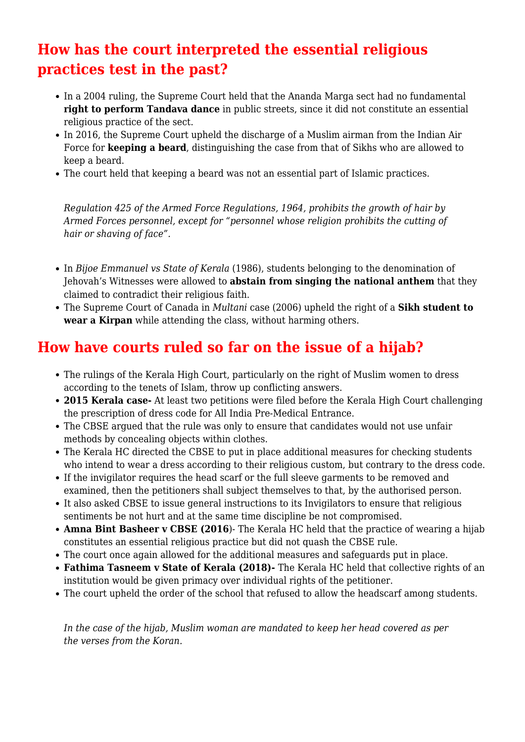### **How has the court interpreted the essential religious practices test in the past?**

- In a 2004 ruling, the Supreme Court held that the Ananda Marga sect had no fundamental **right to perform Tandava dance** in public streets, since it did not constitute an essential religious practice of the sect.
- In 2016, the Supreme Court upheld the discharge of a Muslim airman from the Indian Air Force for **keeping a beard**, distinguishing the case from that of Sikhs who are allowed to keep a beard.
- The court held that keeping a beard was not an essential part of Islamic practices.

*Regulation 425 of the Armed Force Regulations, 1964, prohibits the growth of hair by Armed Forces personnel, except for "personnel whose religion prohibits the cutting of hair or shaving of face".*

- In *Bijoe Emmanuel vs State of Kerala* (1986), students belonging to the denomination of Jehovah's Witnesses were allowed to **abstain from singing the national anthem** that they claimed to contradict their religious faith.
- The Supreme Court of Canada in *Multani* case (2006) upheld the right of a **Sikh student to wear a Kirpan** while attending the class, without harming others.

#### **How have courts ruled so far on the issue of a hijab?**

- The rulings of the Kerala High Court, particularly on the right of Muslim women to dress according to the tenets of Islam, throw up conflicting answers.
- **2015 Kerala case-** At least two petitions were filed before the Kerala High Court challenging the prescription of dress code for All India Pre-Medical Entrance.
- The CBSE argued that the rule was only to ensure that candidates would not use unfair methods by concealing objects within clothes.
- The Kerala HC directed the CBSE to put in place additional measures for checking students who intend to wear a dress according to their religious custom, but contrary to the dress code.
- If the invigilator requires the head scarf or the full sleeve garments to be removed and examined, then the petitioners shall subject themselves to that, by the authorised person.
- It also asked CBSE to issue general instructions to its Invigilators to ensure that religious sentiments be not hurt and at the same time discipline be not compromised.
- **Amna Bint Basheer v CBSE (2016**)- The Kerala HC held that the practice of wearing a hijab constitutes an essential religious practice but did not quash the CBSE rule.
- The court once again allowed for the additional measures and safeguards put in place.
- **Fathima Tasneem v State of Kerala (2018)-** The Kerala HC held that collective rights of an institution would be given primacy over individual rights of the petitioner.
- The court upheld the order of the school that refused to allow the headscarf among students.

*In the case of the hijab, Muslim woman are mandated to keep her head covered as per the verses from the Koran.*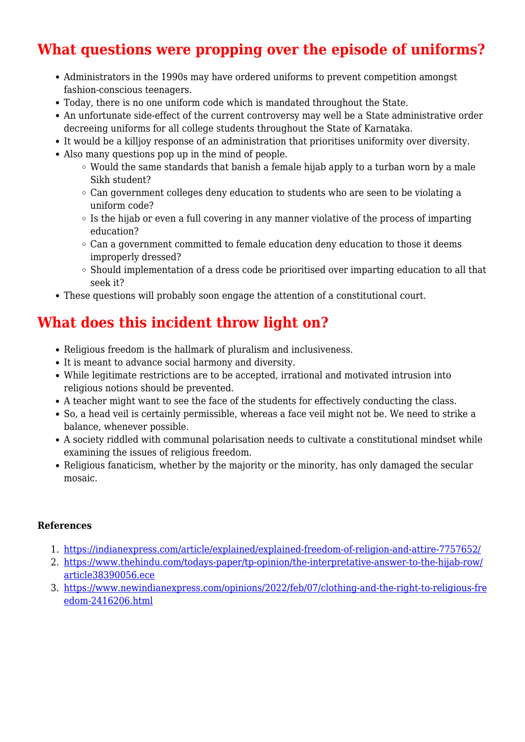# **What questions were propping over the episode of uniforms?**

- Administrators in the 1990s may have ordered uniforms to prevent competition amongst fashion-conscious teenagers.
- Today, there is no one uniform code which is mandated throughout the State.
- An unfortunate side-effect of the current controversy may well be a State administrative order decreeing uniforms for all college students throughout the State of Karnataka.
- It would be a killjoy response of an administration that prioritises uniformity over diversity.
- Also many questions pop up in the mind of people.
	- Would the same standards that banish a female hijab apply to a turban worn by a male Sikh student?
	- $\circ$  Can government colleges deny education to students who are seen to be violating a uniform code?
	- $\circ$  Is the hijab or even a full covering in any manner violative of the process of imparting education?
	- Can a government committed to female education deny education to those it deems improperly dressed?
	- $\circ$  Should implementation of a dress code be prioritised over imparting education to all that seek it?
- These questions will probably soon engage the attention of a constitutional court.

# **What does this incident throw light on?**

- Religious freedom is the hallmark of pluralism and inclusiveness.
- It is meant to advance social harmony and diversity.
- While legitimate restrictions are to be accepted, irrational and motivated intrusion into religious notions should be prevented.
- A teacher might want to see the face of the students for effectively conducting the class.
- So, a head veil is certainly permissible, whereas a face veil might not be. We need to strike a balance, whenever possible.
- A society riddled with communal polarisation needs to cultivate a constitutional mindset while examining the issues of religious freedom.
- Religious fanaticism, whether by the majority or the minority, has only damaged the secular mosaic.

#### **References**

- 1. <https://indianexpress.com/article/explained/explained-freedom-of-religion-and-attire-7757652/>
- 2. [https://www.thehindu.com/todays-paper/tp-opinion/the-interpretative-answer-to-the-hijab-row/](https://www.thehindu.com/todays-paper/tp-opinion/the-interpretative-answer-to-the-hijab-row/article38390056.ece) [article38390056.ece](https://www.thehindu.com/todays-paper/tp-opinion/the-interpretative-answer-to-the-hijab-row/article38390056.ece)
- 3. [https://www.newindianexpress.com/opinions/2022/feb/07/clothing-and-the-right-to-religious-fre](https://www.newindianexpress.com/opinions/2022/feb/07/clothing-and-the-right-to-religious-freedom-2416206.html) [edom-2416206.html](https://www.newindianexpress.com/opinions/2022/feb/07/clothing-and-the-right-to-religious-freedom-2416206.html)